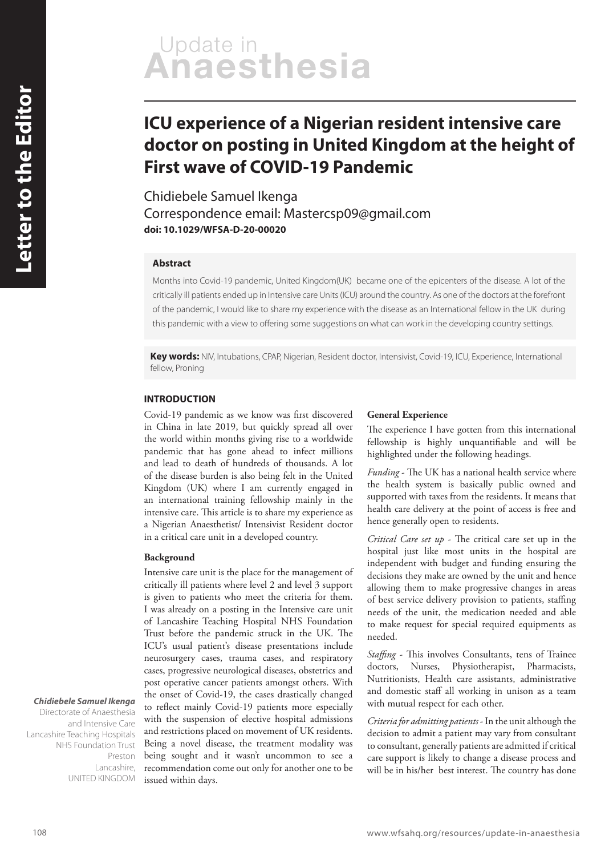# Update in<br>Anaesthesia

# **ICU experience of a Nigerian resident intensive care doctor on posting in United Kingdom at the height of First wave of COVID-19 Pandemic**

Chidiebele Samuel Ikenga Correspondence email: Mastercsp09@gmail.com **doi: 10.1029/WFSA-D-20-00020**

# **Abstract**

Months into Covid-19 pandemic, United Kingdom(UK) became one of the epicenters of the disease. A lot of the critically ill patients ended up in Intensive care Units (ICU) around the country. As one of the doctors at the forefront of the pandemic, I would like to share my experience with the disease as an International fellow in the UK during this pandemic with a view to offering some suggestions on what can work in the developing country settings.

**Key words:** NIV, Intubations, CPAP, Nigerian, Resident doctor, Intensivist, Covid-19, ICU, Experience, International fellow, Proning

#### **INTRODUCTION**

Covid-19 pandemic as we know was first discovered in China in late 2019, but quickly spread all over the world within months giving rise to a worldwide pandemic that has gone ahead to infect millions and lead to death of hundreds of thousands. A lot of the disease burden is also being felt in the United Kingdom (UK) where I am currently engaged in an international training fellowship mainly in the intensive care. This article is to share my experience as a Nigerian Anaesthetist/ Intensivist Resident doctor in a critical care unit in a developed country.

#### **Background**

Intensive care unit is the place for the management of critically ill patients where level 2 and level 3 support is given to patients who meet the criteria for them. I was already on a posting in the Intensive care unit of Lancashire Teaching Hospital NHS Foundation Trust before the pandemic struck in the UK. The ICU's usual patient's disease presentations include neurosurgery cases, trauma cases, and respiratory cases, progressive neurological diseases, obstetrics and post operative cancer patients amongst others. With the onset of Covid-19, the cases drastically changed to reflect mainly Covid-19 patients more especially with the suspension of elective hospital admissions and restrictions placed on movement of UK residents. Being a novel disease, the treatment modality was being sought and it wasn't uncommon to see a recommendation come out only for another one to be issued within days.

#### **General Experience**

The experience I have gotten from this international fellowship is highly unquantifiable and will be highlighted under the following headings.

*Funding* - The UK has a national health service where the health system is basically public owned and supported with taxes from the residents. It means that health care delivery at the point of access is free and hence generally open to residents.

*Critical Care set up* - The critical care set up in the hospital just like most units in the hospital are independent with budget and funding ensuring the decisions they make are owned by the unit and hence allowing them to make progressive changes in areas of best service delivery provision to patients, staffing needs of the unit, the medication needed and able to make request for special required equipments as needed.

*Staffing* - This involves Consultants, tens of Trainee doctors, Nurses, Physiotherapist, Pharmacists, Nutritionists, Health care assistants, administrative and domestic staff all working in unison as a team with mutual respect for each other.

*Criteria for admitting patients* - In the unit although the decision to admit a patient may vary from consultant to consultant, generally patients are admitted if critical care support is likely to change a disease process and will be in his/her best interest. The country has done

# **Chidiebele Samuel Ikenga**

Directorate of Anaesthesia and Intensive Care Lancashire Teaching Hospitals NHS Foundation Trust Preston Lancashire, UNITED KINGDOM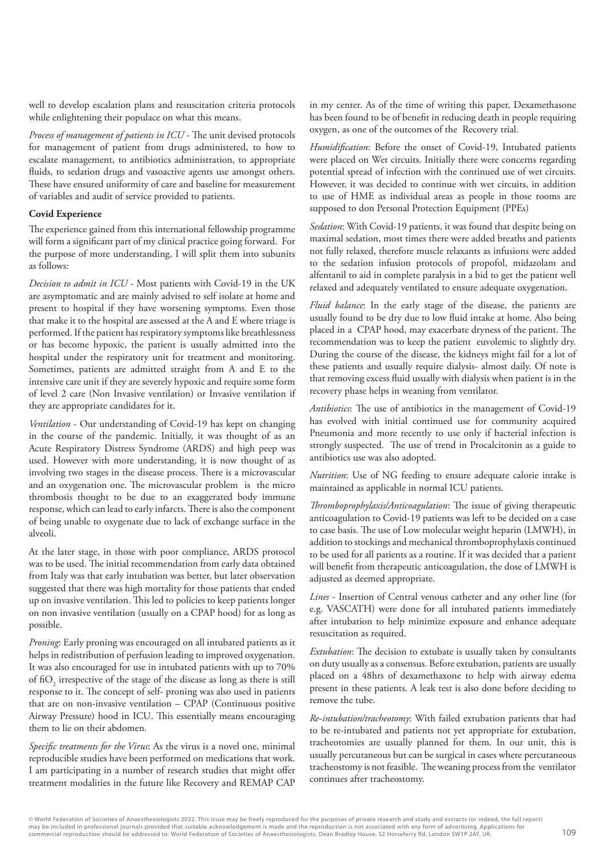well to develop escalation plans and resuscitation criteria protocols while enlightening their populace on what this means.

*Process of management of patients in ICU* - The unit devised protocols for management of patient from drugs administered, to how to escalate management, to antibiotics administration, to appropriate fluids, to sedation drugs and vasoactive agents use amongst others. These have ensured uniformity of care and baseline for measurement of variables and audit of service provided to patients.

## **Covid Experience**

The experience gained from this international fellowship programme will form a significant part of my clinical practice going forward. For the purpose of more understanding, I will split them into subunits as follows:

*Decision to admit in ICU* - Most patients with Covid-19 in the UK are asymptomatic and are mainly advised to self isolate at home and present to hospital if they have worsening symptoms. Even those that make it to the hospital are assessed at the A and E where triage is performed. If the patient has respiratory symptoms like breathlessness or has become hypoxic, the patient is usually admitted into the hospital under the respiratory unit for treatment and monitoring. Sometimes, patients are admitted straight from A and E to the intensive care unit if they are severely hypoxic and require some form of level 2 care (Non Invasive ventilation) or Invasive ventilation if they are appropriate candidates for it.

*Ventilation* - Our understanding of Covid-19 has kept on changing in the course of the pandemic. Initially, it was thought of as an Acute Respiratory Distress Syndrome (ARDS) and high peep was used. However with more understanding, it is now thought of as involving two stages in the disease process. There is a microvascular and an oxygenation one. The microvascular problem is the micro thrombosis thought to be due to an exaggerated body immune response, which can lead to early infarcts. There is also the component of being unable to oxygenate due to lack of exchange surface in the alveoli.

At the later stage, in those with poor compliance, ARDS protocol was to be used. The initial recommendation from early data obtained from Italy was that early intubation was better, but later observation suggested that there was high mortality for those patients that ended up on invasive ventilation. This led to policies to keep patients longer on non invasive ventilation (usually on a CPAP hood) for as long as possible.

*Proning*: Early proning was encouraged on all intubated patients as it helps in redistribution of perfusion leading to improved oxygenation. It was also encouraged for use in intubated patients with up to 70% of  $\mathrm{fio}_2$  irrespective of the stage of the disease as long as there is still response to it. The concept of self- proning was also used in patients that are on non-invasive ventilation – CPAP (Continuous positive Airway Pressure) hood in ICU. This essentially means encouraging them to lie on their abdomen.

*Specific treatments for the Virus*: As the virus is a novel one, minimal reproducible studies have been performed on medications that work. I am participating in a number of research studies that might offer treatment modalities in the future like Recovery and REMAP CAP

in my center. As of the time of writing this paper, Dexamethasone has been found to be of benefit in reducing death in people requiring oxygen, as one of the outcomes of the Recovery trial.

*Humidification*: Before the onset of Covid-19, Intubated patients were placed on Wet circuits. Initially there were concerns regarding potential spread of infection with the continued use of wet circuits. However, it was decided to continue with wet circuits, in addition to use of HME as individual areas as people in those rooms are supposed to don Personal Protection Equipment (PPEs)

*Sedation*: With Covid-19 patients, it was found that despite being on maximal sedation, most times there were added breaths and patients not fully relaxed, therefore muscle relaxants as infusions were added to the sedation infusion protocols of propofol, midazolam and alfentanil to aid in complete paralysis in a bid to get the patient well relaxed and adequately ventilated to ensure adequate oxygenation.

*Fluid balance*: In the early stage of the disease, the patients are usually found to be dry due to low fluid intake at home. Also being placed in a CPAP hood, may exacerbate dryness of the patient. The recommendation was to keep the patient euvolemic to slightly dry. During the course of the disease, the kidneys might fail for a lot of these patients and usually require dialysis- almost daily. Of note is that removing excess fluid usually with dialysis when patient is in the recovery phase helps in weaning from ventilator.

*Antibiotics*: The use of antibiotics in the management of Covid-19 has evolved with initial continued use for community acquired Pneumonia and more recently to use only if bacterial infection is strongly suspected. The use of trend in Procalcitonin as a guide to antibiotics use was also adopted.

*Nutrition*: Use of NG feeding to ensure adequate calorie intake is maintained as applicable in normal ICU patients.

*Thromboprophylaxis/Anticoagulation*: The issue of giving therapeutic anticoagulation to Covid-19 patients was left to be decided on a case to case basis. The use of Low molecular weight heparin (LMWH), in addition to stockings and mechanical thromboprophylaxis continued to be used for all patients as a routine. If it was decided that a patient will benefit from therapeutic anticoagulation, the dose of LMWH is adjusted as deemed appropriate.

*Lines* - Insertion of Central venous catheter and any other line (for e.g. VASCATH) were done for all intubated patients immediately after intubation to help minimize exposure and enhance adequate resuscitation as required.

*Extubation*: The decision to extubate is usually taken by consultants on duty usually as a consensus. Before extubation, patients are usually placed on a 48hrs of dexamethaxone to help with airway edema present in these patients. A leak test is also done before deciding to remove the tube.

*Re-intubation/tracheotomy*: With failed extubation patients that had to be re-intubated and patients not yet appropriate for extubation, tracheotomies are usually planned for them. In our unit, this is usually percutaneous but can be surgical in cases where percutaneous tracheostomy is not feasible. The weaning process from the ventilator continues after tracheostomy.